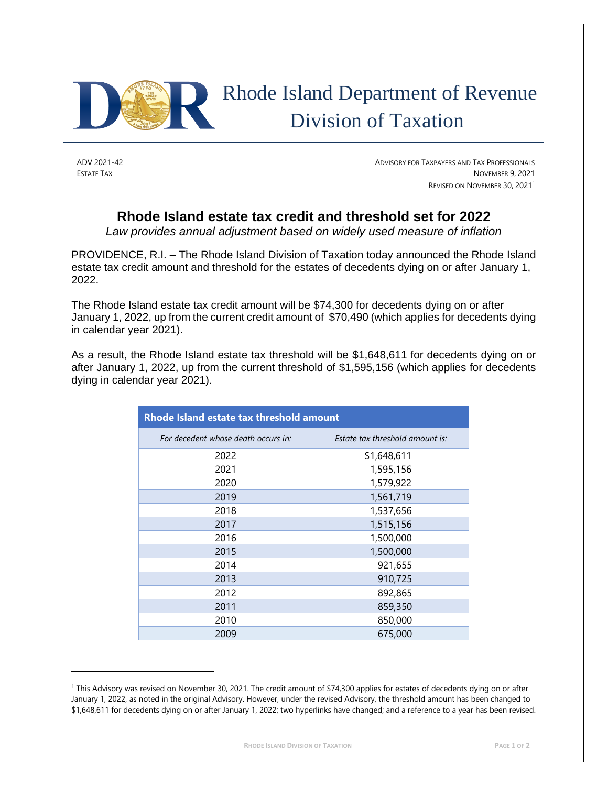

## Rhode Island Department of Revenue Division of Taxation

ADV 2021-42 ADVISORY FOR TAXPAYERS AND TAX PROFESSIONALS ESTATE TAX NOVEMBER 9, 2021 REVISED ON NOVEMBER 30, 2021<sup>1</sup>

## **Rhode Island estate tax credit and threshold set for 2022**

*Law provides annual adjustment based on widely used measure of inflation*

PROVIDENCE, R.I. – The Rhode Island Division of Taxation today announced the Rhode Island estate tax credit amount and threshold for the estates of decedents dying on or after January 1, 2022.

The Rhode Island estate tax credit amount will be \$74,300 for decedents dying on or after January 1, 2022, up from the current credit amount of \$70,490 (which applies for decedents dying in calendar year 2021).

As a result, the Rhode Island estate tax threshold will be \$1,648,611 for decedents dying on or after January 1, 2022, up from the current threshold of \$1,595,156 (which applies for decedents dying in calendar year 2021).

| Rhode Island estate tax threshold amount |                                 |
|------------------------------------------|---------------------------------|
| For decedent whose death occurs in:      | Estate tax threshold amount is: |
| 2022                                     | \$1,648,611                     |
| 2021                                     | 1,595,156                       |
| 2020                                     | 1,579,922                       |
| 2019                                     | 1,561,719                       |
| 2018                                     | 1,537,656                       |
| 2017                                     | 1,515,156                       |
| 2016                                     | 1,500,000                       |
| 2015                                     | 1,500,000                       |
| 2014                                     | 921,655                         |
| 2013                                     | 910,725                         |
| 2012                                     | 892,865                         |
| 2011                                     | 859,350                         |
| 2010                                     | 850,000                         |
| 2009                                     | 675,000                         |

<sup>1</sup> This Advisory was revised on November 30, 2021. The credit amount of \$74,300 applies for estates of decedents dying on or after January 1, 2022, as noted in the original Advisory. However, under the revised Advisory, the threshold amount has been changed to \$1,648,611 for decedents dying on or after January 1, 2022; two hyperlinks have changed; and a reference to a year has been revised.